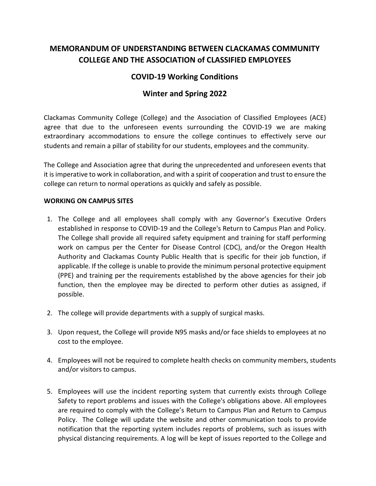# **MEMORANDUM OF UNDERSTANDING BETWEEN CLACKAMAS COMMUNITY COLLEGE AND THE ASSOCIATION of CLASSIFIED EMPLOYEES**

## **COVID-19 Working Conditions**

## **Winter and Spring 2022**

Clackamas Community College (College) and the Association of Classified Employees (ACE) agree that due to the unforeseen events surrounding the COVID-19 we are making extraordinary accommodations to ensure the college continues to effectively serve our students and remain a pillar of stability for our students, employees and the community.

The College and Association agree that during the unprecedented and unforeseen events that it is imperative to work in collaboration, and with a spirit of cooperation and trust to ensure the college can return to normal operations as quickly and safely as possible.

#### **WORKING ON CAMPUS SITES**

- 1. The College and all employees shall comply with any Governor's Executive Orders established in response to COVID-19 and the College's Return to Campus Plan and Policy. The College shall provide all required safety equipment and training for staff performing work on campus per the Center for Disease Control (CDC), and/or the Oregon Health Authority and Clackamas County Public Health that is specific for their job function, if applicable. If the college is unable to provide the minimum personal protective equipment (PPE) and training per the requirements established by the above agencies for their job function, then the employee may be directed to perform other duties as assigned, if possible.
- 2. The college will provide departments with a supply of surgical masks.
- 3. Upon request, the College will provide N95 masks and/or face shields to employees at no cost to the employee.
- 4. Employees will not be required to complete health checks on community members, students and/or visitors to campus.
- 5. Employees will use the incident reporting system that currently exists through College Safety to report problems and issues with the College's obligations above. All employees are required to comply with the College's Return to Campus Plan and Return to Campus Policy. The College will update the website and other communication tools to provide notification that the reporting system includes reports of problems, such as issues with physical distancing requirements. A log will be kept of issues reported to the College and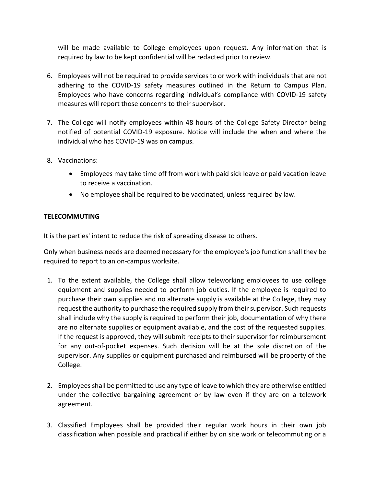will be made available to College employees upon request. Any information that is required by law to be kept confidential will be redacted prior to review.

- 6. Employees will not be required to provide services to or work with individuals that are not adhering to the COVID-19 safety measures outlined in the Return to Campus Plan. Employees who have concerns regarding individual's compliance with COVID-19 safety measures will report those concerns to their supervisor.
- 7. The College will notify employees within 48 hours of the College Safety Director being notified of potential COVID-19 exposure. Notice will include the when and where the individual who has COVID-19 was on campus.
- 8. Vaccinations:
	- Employees may take time off from work with paid sick leave or paid vacation leave to receive a vaccination.
	- No employee shall be required to be vaccinated, unless required by law.

### **TELECOMMUTING**

It is the parties' intent to reduce the risk of spreading disease to others.

Only when business needs are deemed necessary for the employee's job function shall they be required to report to an on-campus worksite.

- 1. To the extent available, the College shall allow teleworking employees to use college equipment and supplies needed to perform job duties. If the employee is required to purchase their own supplies and no alternate supply is available at the College, they may request the authority to purchase the required supply from their supervisor. Such requests shall include why the supply is required to perform their job, documentation of why there are no alternate supplies or equipment available, and the cost of the requested supplies. If the request is approved, they will submit receipts to their supervisor for reimbursement for any out-of-pocket expenses. Such decision will be at the sole discretion of the supervisor. Any supplies or equipment purchased and reimbursed will be property of the College.
- 2. Employees shall be permitted to use any type of leave to which they are otherwise entitled under the collective bargaining agreement or by law even if they are on a telework agreement.
- 3. Classified Employees shall be provided their regular work hours in their own job classification when possible and practical if either by on site work or telecommuting or a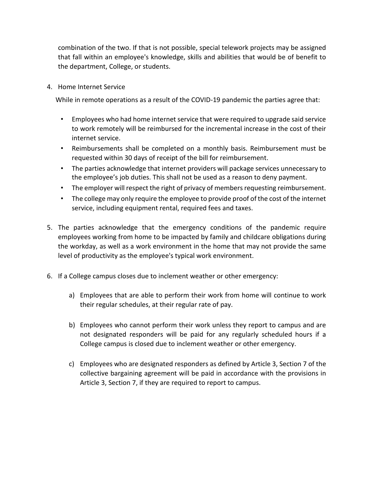combination of the two. If that is not possible, special telework projects may be assigned that fall within an employee's knowledge, skills and abilities that would be of benefit to the department, College, or students.

4. Home Internet Service

While in remote operations as a result of the COVID-19 pandemic the parties agree that:

- Employees who had home internet service that were required to upgrade said service to work remotely will be reimbursed for the incremental increase in the cost of their internet service.
- Reimbursements shall be completed on a monthly basis. Reimbursement must be requested within 30 days of receipt of the bill for reimbursement.
- The parties acknowledge that internet providers will package services unnecessary to the employee's job duties. This shall not be used as a reason to deny payment.
- The employer will respect the right of privacy of members requesting reimbursement.
- The college may only require the employee to provide proof of the cost of the internet service, including equipment rental, required fees and taxes.
- 5. The parties acknowledge that the emergency conditions of the pandemic require employees working from home to be impacted by family and childcare obligations during the workday, as well as a work environment in the home that may not provide the same level of productivity as the employee's typical work environment.
- 6. If a College campus closes due to inclement weather or other emergency:
	- a) Employees that are able to perform their work from home will continue to work their regular schedules, at their regular rate of pay.
	- b) Employees who cannot perform their work unless they report to campus and are not designated responders will be paid for any regularly scheduled hours if a College campus is closed due to inclement weather or other emergency.
	- c) Employees who are designated responders as defined by Article 3, Section 7 of the collective bargaining agreement will be paid in accordance with the provisions in Article 3, Section 7, if they are required to report to campus.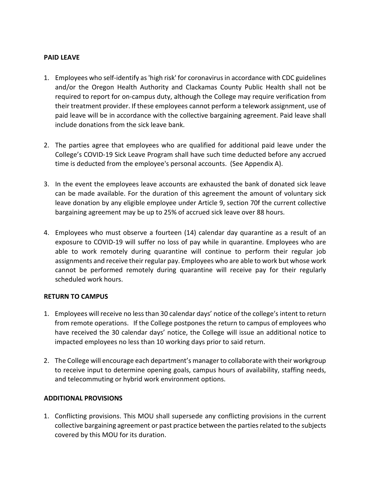#### **PAID LEAVE**

- 1. Employees who self-identify as 'high risk' for coronavirus in accordance with CDC guidelines and/or the Oregon Health Authority and Clackamas County Public Health shall not be required to report for on-campus duty, although the College may require verification from their treatment provider. If these employees cannot perform a telework assignment, use of paid leave will be in accordance with the collective bargaining agreement. Paid leave shall include donations from the sick leave bank.
- 2. The parties agree that employees who are qualified for additional paid leave under the College's COVID-19 Sick Leave Program shall have such time deducted before any accrued time is deducted from the employee's personal accounts. (See Appendix A).
- 3. In the event the employees leave accounts are exhausted the bank of donated sick leave can be made available. For the duration of this agreement the amount of voluntary sick leave donation by any eligible employee under Article 9, section 70f the current collective bargaining agreement may be up to 25% of accrued sick leave over 88 hours.
- 4. Employees who must observe a fourteen (14) calendar day quarantine as a result of an exposure to COVID-19 will suffer no loss of pay while in quarantine. Employees who are able to work remotely during quarantine will continue to perform their regular job assignments and receive their regular pay. Employees who are able to work but whose work cannot be performed remotely during quarantine will receive pay for their regularly scheduled work hours.

#### **RETURN TO CAMPUS**

- 1. Employees will receive no less than 30 calendar days' notice of the college's intent to return from remote operations. If the College postpones the return to campus of employees who have received the 30 calendar days' notice, the College will issue an additional notice to impacted employees no less than 10 working days prior to said return.
- 2. The College will encourage each department's managerto collaborate with their workgroup to receive input to determine opening goals, campus hours of availability, staffing needs, and telecommuting or hybrid work environment options.

### **ADDITIONAL PROVISIONS**

1. Conflicting provisions. This MOU shall supersede any conflicting provisions in the current collective bargaining agreement or past practice between the parties related to the subjects covered by this MOU for its duration.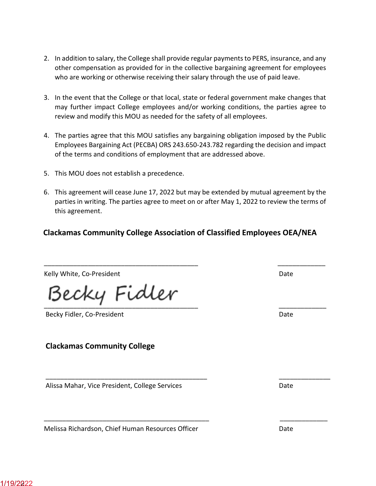- 2. In addition to salary, the College shall provide regular payments to PERS, insurance, and any other compensation as provided for in the collective bargaining agreement for employees who are working or otherwise receiving their salary through the use of paid leave.
- 3. In the event that the College or that local, state or federal government make changes that may further impact College employees and/or working conditions, the parties agree to review and modify this MOU as needed for the safety of all employees.
- 4. The parties agree that this MOU satisfies any bargaining obligation imposed by the Public Employees Bargaining Act (PECBA) ORS 243.650-243.782 regarding the decision and impact of the terms and conditions of employment that are addressed above.
- 5. This MOU does not establish a precedence.
- 6. This agreement will cease June 17, 2022 but may be extended by mutual agreement by the parties in writing. The parties agree to meet on or after May 1, 2022 to review the terms of this agreement.

## **Clackamas Community College Association of Classified Employees OEA/NEA**

\_\_\_\_\_\_\_\_\_\_\_\_\_\_\_\_\_\_\_\_\_\_\_\_\_\_\_\_\_\_\_\_\_\_\_\_\_\_\_\_\_\_ \_\_\_\_\_\_\_\_\_\_\_\_\_

\_\_\_\_\_\_\_\_\_\_\_\_\_\_\_\_\_\_\_\_\_\_\_\_\_\_\_\_\_\_\_\_\_\_\_\_\_\_\_\_\_\_\_\_ \_\_\_\_\_\_\_\_\_\_\_\_\_\_

\_\_\_\_\_\_\_\_\_\_\_\_\_\_\_\_\_\_\_\_\_\_\_\_\_\_\_\_\_\_\_\_\_\_\_\_\_\_\_\_\_\_\_\_\_ \_\_\_\_\_\_\_\_\_\_\_\_\_

Kelly White, Co-President National Accounts of the United States of the Date Date

\_\_\_\_\_\_\_\_\_\_\_\_\_\_\_\_\_\_\_\_\_\_\_\_\_\_\_\_\_\_\_\_\_\_\_\_\_\_\_\_\_\_ \_\_\_\_\_\_\_\_\_\_\_\_\_

Becky Fidler, Co-President Date Date Date Date Date Date Date

## **Clackamas Community College**

Alissa Mahar, Vice President, College Services Date Date

Melissa Richardson, Chief Human Resources Officer **Date** Date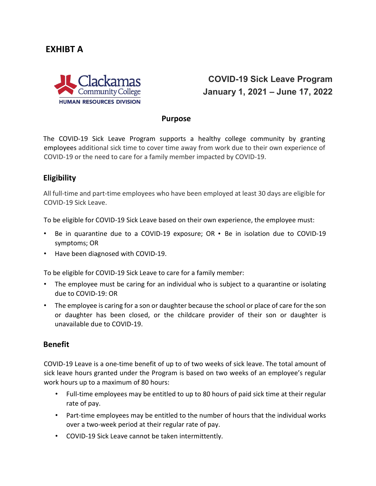# **EXHIBT A**



# **COVID-19 Sick Leave Program January 1, 2021 – June 17, 2022**

#### **Purpose**

The COVID-19 Sick Leave Program supports a healthy college community by granting employees additional sick time to cover time away from work due to their own experience of COVID-19 or the need to care for a family member impacted by COVID-19.

## **Eligibility**

All full-time and part-time employees who have been employed at least 30 days are eligible for COVID-19 Sick Leave.

To be eligible for COVID-19 Sick Leave based on their own experience, the employee must:

- Be in quarantine due to a COVID-19 exposure; OR Be in isolation due to COVID-19 symptoms; OR
- Have been diagnosed with COVID-19.

To be eligible for COVID-19 Sick Leave to care for a family member:

- The employee must be caring for an individual who is subject to a quarantine or isolating due to COVID-19: OR
- The employee is caring for a son or daughter because the school or place of care for the son or daughter has been closed, or the childcare provider of their son or daughter is unavailable due to COVID-19.

### **Benefit**

COVID-19 Leave is a one-time benefit of up to of two weeks of sick leave. The total amount of sick leave hours granted under the Program is based on two weeks of an employee's regular work hours up to a maximum of 80 hours:

- Full-time employees may be entitled to up to 80 hours of paid sick time at their regular rate of pay.
- Part-time employees may be entitled to the number of hours that the individual works over a two-week period at their regular rate of pay.
- COVID-19 Sick Leave cannot be taken intermittently.